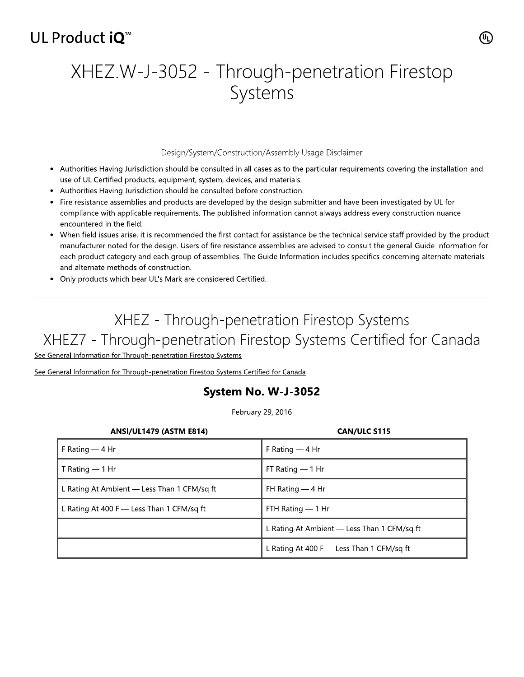## UL Product iO<sup>™</sup>

# XHEZ.W-J-3052 - Through-penetration Firestop Systems

#### Design/System/Construction/Assembly Usage Disclaimer

- Authorities Having Jurisdiction should be consulted in all cases as to the particular requirements covering the installation and use of UL Certified products, equipment, system, devices, and materials.
- Authorities Having Jurisdiction should be consulted before construction.
- Fire resistance assemblies and products are developed by the design submitter and have been investigated by UL for compliance with applicable requirements. The published information cannot always address every construction nuance encountered in the field.
- When field issues arise, it is recommended the first contact for assistance be the technical service staff provided by the product manufacturer noted for the design. Users of fire resistance assemblies are advised to consult the general Guide Information for each product category and each group of assemblies. The Guide Information includes specifics concerning alternate materials and alternate methods of construction.
- Only products which bear UL's Mark are considered Certified.

## XHEZ - Through-penetration Firestop Systems XHEZ7 - Through-penetration Firestop Systems Certified for Canada

See General Information for Through-penetration Firestop Systems

See General Information for Through-penetration Firestop Systems Certified for Canada

### System No. W-J-3052

February 29, 2016

| <b>ANSI/UL1479 (ASTM E814)</b>              | <b>CAN/ULC S115</b>                         |
|---------------------------------------------|---------------------------------------------|
| F Rating $-$ 4 Hr                           | F Rating $-4$ Hr                            |
| T Rating $-$ 1 Hr                           | FT Rating $-1$ Hr                           |
| L Rating At Ambient — Less Than 1 CFM/sq ft | FH Rating $-4$ Hr                           |
| L Rating At 400 F $-$ Less Than 1 CFM/sq ft | FTH Rating — 1 Hr                           |
|                                             | L Rating At Ambient — Less Than 1 CFM/sq ft |
|                                             | L Rating At 400 F $-$ Less Than 1 CFM/sq ft |

(ሢ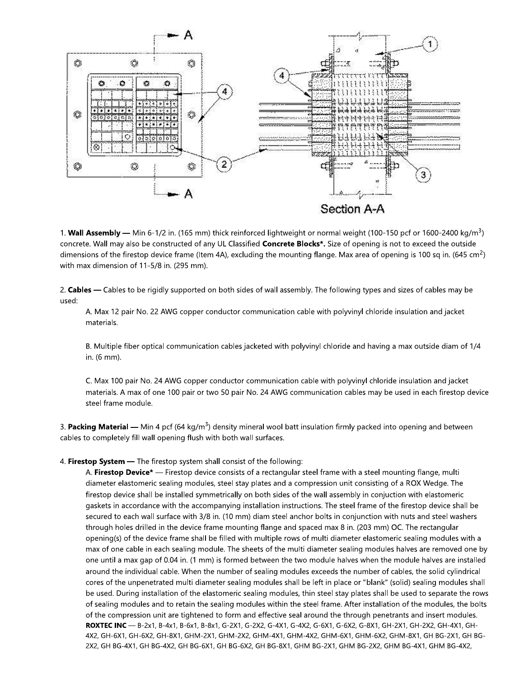

1. Wall Assembly — Min 6-1/2 in. (165 mm) thick reinforced lightweight or normal weight (100-150 pcf or 1600-2400 kg/m<sup>3</sup>) concrete. Wall may also be constructed of any UL Classified Concrete Blocks\*. Size of opening is not to exceed the outside dimensions of the firestop device frame (Item 4A), excluding the mounting flange. Max area of opening is 100 sq in.  $(645 \text{ cm}^2)$ with max dimension of 11-5/8 in. (295 mm).

2. Cables - Cables to be rigidly supported on both sides of wall assembly. The following types and sizes of cables may be used:

A. Max 12 pair No. 22 AWG copper conductor communication cable with polyvinyl chloride insulation and jacket materials.

B. Multiple fiber optical communication cables jacketed with polyvinyl chloride and having a max outside diam of 1/4 in. (6 mm).

C. Max 100 pair No. 24 AWG copper conductor communication cable with polyvinyl chloride insulation and jacket materials. A max of one 100 pair or two 50 pair No. 24 AWG communication cables may be used in each firestop device steel frame module.

3. Packing Material — Min 4 pcf (64 kg/m<sup>3</sup>) density mineral wool batt insulation firmly packed into opening and between cables to completely fill wall opening flush with both wall surfaces.

#### 4. Firestop System - The firestop system shall consist of the following:

A. Firestop Device<sup>\*</sup> — Firestop device consists of a rectangular steel frame with a steel mounting flange, multi diameter elastomeric sealing modules, steel stay plates and a compression unit consisting of a ROX Wedge. The firestop device shall be installed symmetrically on both sides of the wall assembly in conjuction with elastomeric gaskets in accordance with the accompanying installation instructions. The steel frame of the firestop device shall be secured to each wall surface with 3/8 in. (10 mm) diam steel anchor bolts in conjunction with nuts and steel washers through holes drilled in the device frame mounting flange and spaced max 8 in. (203 mm) OC. The rectangular opening(s) of the device frame shall be filled with multiple rows of multi diameter elastomeric sealing modules with a max of one cable in each sealing module. The sheets of the multi diameter sealing modules halves are removed one by one until a max gap of 0.04 in. (1 mm) is formed between the two module halves when the module halves are installed around the individual cable. When the number of sealing modules exceeds the number of cables, the solid cylindrical cores of the unpenetrated multi diameter sealing modules shall be left in place or "blank" (solid) sealing modules shall be used. During installation of the elastomeric sealing modules, thin steel stay plates shall be used to separate the rows of sealing modules and to retain the sealing modules within the steel frame. After installation of the modules, the bolts of the compression unit are tightened to form and effective seal around the through penetrants and insert modules. ROXTEC INC - B-2x1, B-4x1, B-6x1, B-8x1, G-2X1, G-2X2, G-4X1, G-4X2, G-6X1, G-6X2, G-8X1, GH-2X1, GH-2X2, GH-4X1, GH-4X2, GH-6X1, GH-6X2, GH-8X1, GHM-2X1, GHM-2X2, GHM-4X1, GHM-4X2, GHM-6X1, GHM-6X2, GHM-8X1, GH BG-2X1, GH BG-2X2, GH BG-4X1, GH BG-4X2, GH BG-6X1, GH BG-6X2, GH BG-8X1, GHM BG-2X1, GHM BG-2X2, GHM BG-4X1, GHM BG-4X2,